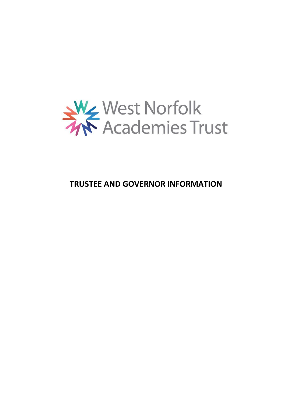

# **TRUSTEE AND GOVERNOR INFORMATION**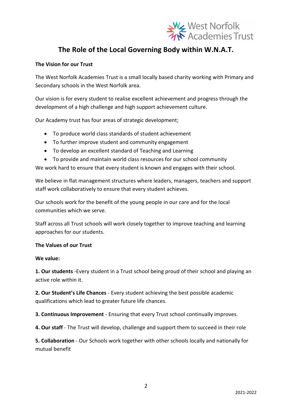

## **The Role of the Local Governing Body within W.N.A.T.**

#### **The Vision for our Trust**

The West Norfolk Academies Trust is a small locally based charity working with Primary and Secondary schools in the West Norfolk area.

Our vision is for every student to realise excellent achievement and progress through the development of a high challenge and high support achievement culture.

Our Academy trust has four areas of strategic development;

- To produce world class standards of student achievement
- To further improve student and community engagement
- To develop an excellent standard of Teaching and Learning
- To provide and maintain world class resources for our school community

We work hard to ensure that every student is known and engages with their school.

We believe in flat management structures where leaders, managers, teachers and support staff work collaboratively to ensure that every student achieves.

Our schools work for the benefit of the young people in our care and for the local communities which we serve.

Staff across all Trust schools will work closely together to improve teaching and learning approaches for our students.

#### **The Values of our Trust**

#### **We value:**

**1. Our students** -Every student in a Trust school being proud of their school and playing an active role within it.

**2. Our Student's Life Chances** - Every student achieving the best possible academic qualifications which lead to greater future life chances.

**3. Continuous Improvement** - Ensuring that every Trust school continually improves.

**4. Our staff** - The Trust will develop, challenge and support them to succeed in their role

**5. Collaboration** - Our Schools work together with other schools locally and nationally for mutual benefit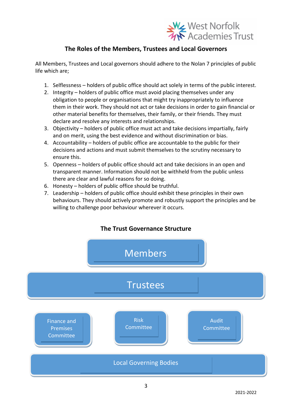

## **The Roles of the Members, Trustees and Local Governors**

All Members, Trustees and Local governors should adhere to the Nolan 7 principles of public life which are;

- 1. Selflessness holders of public office should act solely in terms of the public interest.
- 2. Integrity holders of public office must avoid placing themselves under any obligation to people or organisations that might try inappropriately to influence them in their work. They should not act or take decisions in order to gain financial or other material benefits for themselves, their family, or their friends. They must declare and resolve any interests and relationships.
- 3. Objectivity holders of public office must act and take decisions impartially, fairly and on merit, using the best evidence and without discrimination or bias.
- 4. Accountability holders of public office are accountable to the public for their decisions and actions and must submit themselves to the scrutiny necessary to ensure this.
- 5. Openness holders of public office should act and take decisions in an open and transparent manner. Information should not be withheld from the public unless there are clear and lawful reasons for so doing.
- 6. Honesty holders of public office should be truthful.
- 7. Leadership holders of public office should exhibit these principles in their own behaviours. They should actively promote and robustly support the principles and be willing to challenge poor behaviour wherever it occurs.

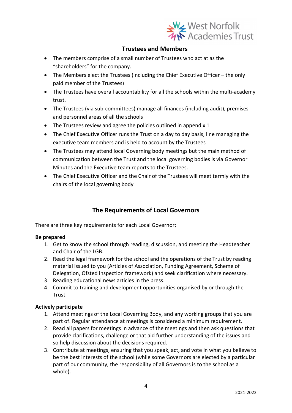

## **Trustees and Members**

- The members comprise of a small number of Trustees who act at as the "shareholders" for the company.
- The Members elect the Trustees (including the Chief Executive Officer the only paid member of the Trustees)
- The Trustees have overall accountability for all the schools within the multi-academy trust.
- The Trustees (via sub-committees) manage all finances (including audit), premises and personnel areas of all the schools
- The Trustees review and agree the policies outlined in appendix 1
- The Chief Executive Officer runs the Trust on a day to day basis, line managing the executive team members and is held to account by the Trustees
- The Trustees may attend local Governing body meetings but the main method of communication between the Trust and the local governing bodies is via Governor Minutes and the Executive team reports to the Trustees.
- The Chief Executive Officer and the Chair of the Trustees will meet termly with the chairs of the local governing body

## **The Requirements of Local Governors**

There are three key requirements for each Local Governor;

#### **Be prepared**

- 1. Get to know the school through reading, discussion, and meeting the Headteacher and Chair of the LGB.
- 2. Read the legal framework for the school and the operations of the Trust by reading material issued to you (Articles of Association, Funding Agreement, Scheme of Delegation, Ofsted inspection framework) and seek clarification where necessary.
- 3. Reading educational news articles in the press.
- 4. Commit to training and development opportunities organised by or through the Trust.

#### **Actively participate**

- 1. Attend meetings of the Local Governing Body, and any working groups that you are part of. Regular attendance at meetings is considered a minimum requirement.
- 2. Read all papers for meetings in advance of the meetings and then ask questions that provide clarifications, challenge or that aid further understanding of the issues and so help discussion about the decisions required.
- 3. Contribute at meetings, ensuring that you speak, act, and vote in what you believe to be the best interests of the school (while some Governors are elected by a particular part of our community, the responsibility of all Governors is to the school as a whole).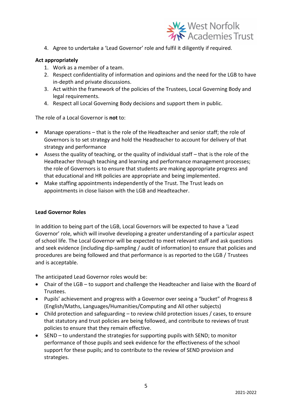

4. Agree to undertake a 'Lead Governor' role and fulfil it diligently if required.

#### **Act appropriately**

- 1. Work as a member of a team.
- 2. Respect confidentiality of information and opinions and the need for the LGB to have in-depth and private discussions.
- 3. Act within the framework of the policies of the Trustees, Local Governing Body and legal requirements.
- 4. Respect all Local Governing Body decisions and support them in public.

The role of a Local Governor is **not** to:

- Manage operations that is the role of the Headteacher and senior staff; the role of Governors is to set strategy and hold the Headteacher to account for delivery of that strategy and performance
- Assess the quality of teaching, or the quality of individual staff that is the role of the Headteacher through teaching and learning and performance management processes; the role of Governors is to ensure that students are making appropriate progress and that educational and HR policies are appropriate and being implemented.
- Make staffing appointments independently of the Trust. The Trust leads on appointments in close liaison with the LGB and Headteacher.

#### **Lead Governor Roles**

In addition to being part of the LGB, Local Governors will be expected to have a 'Lead Governor' role, which will involve developing a greater understanding of a particular aspect of school life. The Local Governor will be expected to meet relevant staff and ask questions and seek evidence (including dip-sampling / audit of information) to ensure that policies and procedures are being followed and that performance is as reported to the LGB / Trustees and is acceptable.

The anticipated Lead Governor roles would be:

- Chair of the LGB to support and challenge the Headteacher and liaise with the Board of Trustees.
- Pupils' achievement and progress with a Governor over seeing a "bucket" of Progress 8 (English/Maths, Languages/Humanities/Computing and All other subjects)
- Child protection and safeguarding to review child protection issues / cases, to ensure that statutory and trust policies are being followed, and contribute to reviews of trust policies to ensure that they remain effective.
- SEND to understand the strategies for supporting pupils with SEND; to monitor performance of those pupils and seek evidence for the effectiveness of the school support for these pupils; and to contribute to the review of SEND provision and strategies.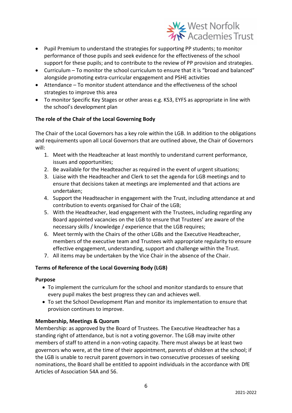

- Pupil Premium to understand the strategies for supporting PP students; to monitor performance of those pupils and seek evidence for the effectiveness of the school support for these pupils; and to contribute to the review of PP provision and strategies.
- Curriculum To monitor the school curriculum to ensure that it is "broad and balanced" alongside promoting extra-curricular engagement and PSHE activities
- Attendance To monitor student attendance and the effectiveness of the school strategies to improve this area
- To monitor Specific Key Stages or other areas e.g. KS3, EYFS as appropriate in line with the school's development plan

#### **The role of the Chair of the Local Governing Body**

The Chair of the Local Governors has a key role within the LGB. In addition to the obligations and requirements upon all Local Governors that are outlined above, the Chair of Governors will:

- 1. Meet with the Headteacher at least monthly to understand current performance, issues and opportunities;
- 2. Be available for the Headteacher as required in the event of urgent situations;
- 3. Liaise with the Headteacher and Clerk to set the agenda for LGB meetings and to ensure that decisions taken at meetings are implemented and that actions are undertaken;
- 4. Support the Headteacher in engagement with the Trust, including attendance at and contribution to events organised for Chair of the LGB;
- 5. With the Headteacher, lead engagement with the Trustees, including regarding any Board appointed vacancies on the LGB to ensure that Trustees' are aware of the necessary skills / knowledge / experience that the LGB requires;
- 6. Meet termly with the Chairs of the other LGBs and the Executive Headteacher, members of the executive team and Trustees with appropriate regularity to ensure effective engagement, understanding, support and challenge within the Trust.
- 7. All items may be undertaken by the Vice Chair in the absence of the Chair.

#### **Terms of Reference of the Local Governing Body (LGB)**

#### **Purpose**

- To implement the curriculum for the school and monitor standards to ensure that every pupil makes the best progress they can and achieves well.
- To set the School Development Plan and monitor its implementation to ensure that provision continues to improve.

#### **Membership, Meetings & Quorum**

Membership: as approved by the Board of Trustees. The Executive Headteacher has a standing right of attendance, but is not a voting governor. The LGB may invite other members of staff to attend in a non-voting capacity. There must always be at least two governors who were, at the time of their appointment, parents of children at the school; if the LGB is unable to recruit parent governors in two consecutive processes of seeking nominations, the Board shall be entitled to appoint individuals in the accordance with DfE Articles of Association 54A and 56.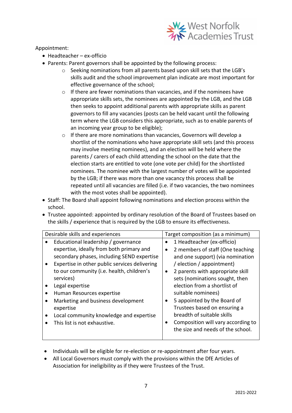

Appointment:

- Headteacher ex-officio
- Parents: Parent governors shall be appointed by the following process:
	- o Seeking nominations from all parents based upon skill sets that the LGB's skills audit and the school improvement plan indicate are most important for effective governance of the school;
	- o If there are fewer nominations than vacancies, and if the nominees have appropriate skills sets, the nominees are appointed by the LGB, and the LGB then seeks to appoint additional parents with appropriate skills as parent governors to fill any vacancies (posts can be held vacant until the following term where the LGB considers this appropriate, such as to enable parents of an incoming year group to be eligible);
	- o If there are more nominations than vacancies, Governors will develop a shortlist of the nominations who have appropriate skill sets (and this process may involve meeting nominees), and an election will be held where the parents / carers of each child attending the school on the date that the election starts are entitled to vote (one vote per child) for the shortlisted nominees. The nominee with the largest number of votes will be appointed by the LGB; if there was more than one vacancy this process shall be repeated until all vacancies are filled (i.e. if two vacancies, the two nominees with the most votes shall be appointed).
- Staff: The Board shall appoint following nominations and election process within the school.
- Trustee appointed: appointed by ordinary resolution of the Board of Trustees based on the skills / experience that is required by the LGB to ensure its effectiveness.

| Desirable skills and experiences                                                                                           |           | Target composition (as a minimum)                                                                                                                                    |
|----------------------------------------------------------------------------------------------------------------------------|-----------|----------------------------------------------------------------------------------------------------------------------------------------------------------------------|
| Educational leadership / governance                                                                                        | ٠         | 1 Headteacher (ex-officio)                                                                                                                                           |
| expertise, ideally from both primary and<br>secondary phases, including SEND expertise                                     | $\bullet$ | 2 members of staff (One teaching<br>and one support) (via nomination                                                                                                 |
| Expertise in other public services delivering<br>to our community (i.e. health, children's<br>services)<br>Legal expertise | $\bullet$ | / election / appointment)<br>2 parents with appropriate skill<br>sets (nominations sought, then<br>election from a shortlist of                                      |
| Human Resources expertise                                                                                                  |           | suitable nominees)                                                                                                                                                   |
| Marketing and business development<br>expertise<br>Local community knowledge and expertise<br>This list is not exhaustive. | $\bullet$ | 5 appointed by the Board of<br>Trustees based on ensuring a<br>breadth of suitable skills<br>Composition will vary according to<br>the size and needs of the school. |

- Individuals will be eligible for re-election or re-appointment after four years.
- All Local Governors must comply with the provisions within the DfE Articles of Association for ineligibility as if they were Trustees of the Trust.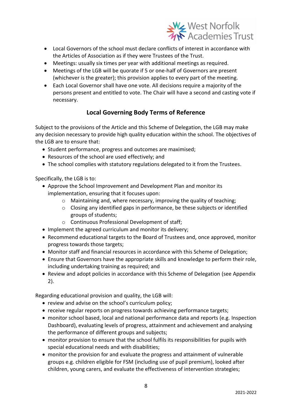

- Local Governors of the school must declare conflicts of interest in accordance with the Articles of Association as if they were Trustees of the Trust.
- Meetings: usually six times per year with additional meetings as required.
- Meetings of the LGB will be quorate if 5 or one-half of Governors are present (whichever is the greater); this provision applies to every part of the meeting.
- Each Local Governor shall have one vote. All decisions require a majority of the persons present and entitled to vote. The Chair will have a second and casting vote if necessary.

## **Local Governing Body Terms of Reference**

Subject to the provisions of the Article and this Scheme of Delegation, the LGB may make any decision necessary to provide high quality education within the school. The objectives of the LGB are to ensure that:

- Student performance, progress and outcomes are maximised;
- Resources of the school are used effectively; and
- The school complies with statutory regulations delegated to it from the Trustees.

Specifically, the LGB is to:

- Approve the School Improvement and Development Plan and monitor its implementation, ensuring that it focuses upon:
	- o Maintaining and, where necessary, improving the quality of teaching;
	- o Closing any identified gaps in performance, be these subjects or identified groups of students;
	- o Continuous Professional Development of staff;
- Implement the agreed curriculum and monitor its delivery:
- Recommend educational targets to the Board of Trustees and, once approved, monitor progress towards those targets;
- Monitor staff and financial resources in accordance with this Scheme of Delegation;
- Ensure that Governors have the appropriate skills and knowledge to perform their role, including undertaking training as required; and
- Review and adopt policies in accordance with this Scheme of Delegation (see Appendix 2).

Regarding educational provision and quality, the LGB will:

- review and advise on the school's curriculum policy;
- receive regular reports on progress towards achieving performance targets;
- monitor school based, local and national performance data and reports (e.g. Inspection Dashboard), evaluating levels of progress, attainment and achievement and analysing the performance of different groups and subjects;
- monitor provision to ensure that the school fulfils its responsibilities for pupils with special educational needs and with disabilities;
- monitor the provision for and evaluate the progress and attainment of vulnerable groups e.g. children eligible for FSM (including use of pupil premium), looked after children, young carers, and evaluate the effectiveness of intervention strategies;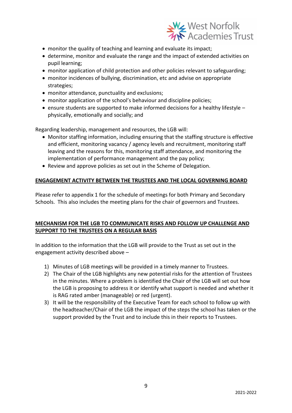

- monitor the quality of teaching and learning and evaluate its impact;
- determine, monitor and evaluate the range and the impact of extended activities on pupil learning;
- monitor application of child protection and other policies relevant to safeguarding;
- monitor incidences of bullying, discrimination, etc and advise on appropriate strategies;
- monitor attendance, punctuality and exclusions;
- monitor application of the school's behaviour and discipline policies;
- ensure students are supported to make informed decisions for a healthy lifestyle physically, emotionally and socially; and

Regarding leadership, management and resources, the LGB will:

- Monitor staffing information, including ensuring that the staffing structure is effective and efficient, monitoring vacancy / agency levels and recruitment, monitoring staff leaving and the reasons for this, monitoring staff attendance, and monitoring the implementation of performance management and the pay policy;
- Review and approve policies as set out in the Scheme of Delegation.

#### **ENGAGEMENT ACTIVITY BETWEEN THE TRUSTEES AND THE LOCAL GOVERNING BOARD**

Please refer to appendix 1 for the schedule of meetings for both Primary and Secondary Schools. This also includes the meeting plans for the chair of governors and Trustees.

#### **MECHANISM FOR THE LGB TO COMMUNICATE RISKS AND FOLLOW UP CHALLENGE AND SUPPORT TO THE TRUSTEES ON A REGULAR BASIS**

In addition to the information that the LGB will provide to the Trust as set out in the engagement activity described above –

- 1) Minutes of LGB meetings will be provided in a timely manner to Trustees.
- 2) The Chair of the LGB highlights any new potential risks for the attention of Trustees in the minutes. Where a problem is identified the Chair of the LGB will set out how the LGB is proposing to address it or identify what support is needed and whether it is RAG rated amber (manageable) or red (urgent).
- 3) It will be the responsibility of the Executive Team for each school to follow up with the headteacher/Chair of the LGB the impact of the steps the school has taken or the support provided by the Trust and to include this in their reports to Trustees.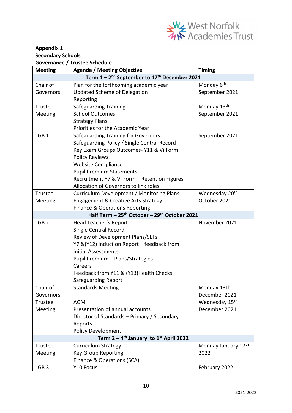

### **Appendix 1 Secondary Schools Governance / Trustee Schedule**

| <b>Meeting</b>   | <b>Agenda / Meeting Objective</b>                                    | <b>Timing</b>              |
|------------------|----------------------------------------------------------------------|----------------------------|
|                  | Term $1 - 2^{nd}$ September to $17^{th}$ December 2021               |                            |
| Chair of         | Plan for the forthcoming academic year                               | Monday 6 <sup>th</sup>     |
| Governors        | <b>Updated Scheme of Delegation</b>                                  | September 2021             |
|                  | Reporting                                                            |                            |
| Trustee          | <b>Safeguarding Training</b>                                         | Monday 13th                |
| Meeting          | <b>School Outcomes</b>                                               | September 2021             |
|                  | <b>Strategy Plans</b>                                                |                            |
|                  | Priorities for the Academic Year                                     |                            |
| LGB <sub>1</sub> | Safeguarding Training for Governors                                  | September 2021             |
|                  | Safeguarding Policy / Single Central Record                          |                            |
|                  | Key Exam Groups Outcomes- Y11 & Vi Form                              |                            |
|                  | <b>Policy Reviews</b>                                                |                            |
|                  | <b>Website Compliance</b>                                            |                            |
|                  | <b>Pupil Premium Statements</b>                                      |                            |
|                  | Recruitment Y7 & Vi Form - Retention Figures                         |                            |
|                  | Allocation of Governors to link roles                                |                            |
| Trustee          | Curriculum Development / Monitoring Plans                            | Wednesday 20 <sup>th</sup> |
| Meeting          | <b>Engagement &amp; Creative Arts Strategy</b>                       | October 2021               |
|                  | Finance & Operations Reporting                                       |                            |
|                  | Half Term - 25 <sup>th</sup> October - 29 <sup>th</sup> October 2021 |                            |
| LGB <sub>2</sub> | Head Teacher's Report                                                | November 2021              |
|                  | Single Central Record                                                |                            |
|                  | Review of Development Plans/SEFs                                     |                            |
|                  | Y7 & (Y12) Induction Report - feedback from                          |                            |
|                  | initial Assessments                                                  |                            |
|                  | Pupil Premium - Plans/Strategies                                     |                            |
|                  | Careers                                                              |                            |
|                  | Feedback from Y11 & (Y13) Health Checks                              |                            |
|                  | Safeguarding Report                                                  |                            |
| Chair of         | <b>Standards Meeting</b>                                             | Monday 13th                |
| Governors        |                                                                      | December 2021              |
| <b>Trustee</b>   | <b>AGM</b>                                                           | Wednesday 15 <sup>th</sup> |
| Meeting          | Presentation of annual accounts                                      | December 2021              |
|                  | Director of Standards - Primary / Secondary                          |                            |
|                  | Reports                                                              |                            |
|                  | <b>Policy Development</b>                                            |                            |
|                  | Term $2 - 4$ <sup>th</sup> January to 1 <sup>st</sup> April 2022     |                            |
| Trustee          | <b>Curriculum Strategy</b>                                           | Monday January 17th        |
| Meeting          | <b>Key Group Reporting</b>                                           | 2022                       |
|                  | Finance & Operations (SCA)                                           |                            |
| LGB <sub>3</sub> | Y10 Focus                                                            | February 2022              |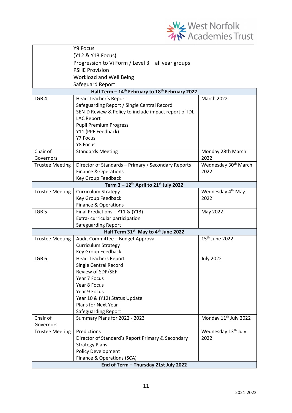

|                                       | Y9 Focus                                                                |                                   |  |  |
|---------------------------------------|-------------------------------------------------------------------------|-----------------------------------|--|--|
|                                       | (Y12 & Y13 Focus)                                                       |                                   |  |  |
|                                       | Progression to Vi Form / Level 3 - all year groups                      |                                   |  |  |
|                                       | <b>PSHE Provision</b>                                                   |                                   |  |  |
|                                       | Workload and Well Being                                                 |                                   |  |  |
|                                       | Safeguard Report                                                        |                                   |  |  |
|                                       | Half Term - 14 <sup>th</sup> February to 18 <sup>th</sup> February 2022 |                                   |  |  |
| LGB <sub>4</sub>                      | Head Teacher's Report                                                   | <b>March 2022</b>                 |  |  |
|                                       | Safeguarding Report / Single Central Record                             |                                   |  |  |
|                                       | SEN-D Review & Policy to include impact report of IDL                   |                                   |  |  |
|                                       | <b>LAC Report</b>                                                       |                                   |  |  |
|                                       | <b>Pupil Premium Progress</b>                                           |                                   |  |  |
|                                       | Y11 (PPE Feedback)                                                      |                                   |  |  |
|                                       | <b>Y7 Focus</b>                                                         |                                   |  |  |
|                                       | Y8 Focus                                                                |                                   |  |  |
| Chair of                              | <b>Standards Meeting</b>                                                | Monday 28th March                 |  |  |
| Governors                             |                                                                         | 2022                              |  |  |
| <b>Trustee Meeting</b>                | Director of Standards - Primary / Secondary Reports                     | Wednesday 30 <sup>th</sup> March  |  |  |
|                                       | Finance & Operations                                                    | 2022                              |  |  |
|                                       | Key Group Feedback                                                      |                                   |  |  |
|                                       | Term $3 - 12$ <sup>th</sup> April to $21$ <sup>st</sup> July 2022       |                                   |  |  |
| <b>Trustee Meeting</b>                | <b>Curriculum Strategy</b>                                              | Wednesday 4 <sup>th</sup> May     |  |  |
|                                       | Key Group Feedback                                                      | 2022                              |  |  |
|                                       | Finance & Operations                                                    |                                   |  |  |
| LGB <sub>5</sub>                      | Final Predictions - Y11 & (Y13)                                         | May 2022                          |  |  |
|                                       | Extra-curricular participation                                          |                                   |  |  |
|                                       | Safeguarding Report<br>Half Term 31st May to 4th June 2022              |                                   |  |  |
| <b>Trustee Meeting</b>                | Audit Committee - Budget Approval                                       | 15 <sup>th</sup> June 2022        |  |  |
|                                       | <b>Curriculum Strategy</b>                                              |                                   |  |  |
|                                       | Key Group Feedback                                                      |                                   |  |  |
| LGB <sub>6</sub>                      | <b>Head Teachers Report</b>                                             | <b>July 2022</b>                  |  |  |
|                                       | <b>Single Central Record</b>                                            |                                   |  |  |
|                                       | Review of SDP/SEF                                                       |                                   |  |  |
|                                       | Year 7 Focus                                                            |                                   |  |  |
|                                       | Year 8 Focus                                                            |                                   |  |  |
|                                       | Year 9 Focus                                                            |                                   |  |  |
|                                       | Year 10 & (Y12) Status Update                                           |                                   |  |  |
|                                       | Plans for Next Year                                                     |                                   |  |  |
|                                       | <b>Safeguarding Report</b>                                              |                                   |  |  |
| Chair of                              | Summary Plans for 2022 - 2023                                           | Monday 11 <sup>th</sup> July 2022 |  |  |
| Governors                             |                                                                         |                                   |  |  |
| <b>Trustee Meeting</b>                | Predictions                                                             | Wednesday 13 <sup>th</sup> July   |  |  |
|                                       | Director of Standard's Report Primary & Secondary                       | 2022                              |  |  |
|                                       | <b>Strategy Plans</b>                                                   |                                   |  |  |
|                                       | <b>Policy Development</b>                                               |                                   |  |  |
|                                       | Finance & Operations (SCA)                                              |                                   |  |  |
| End of Term - Thursday 21st July 2022 |                                                                         |                                   |  |  |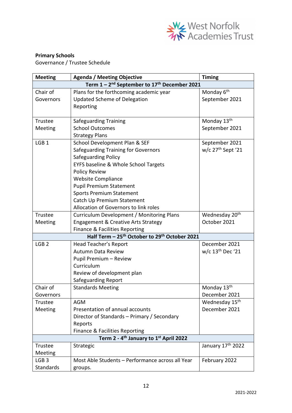

#### **Primary Schools**

Governance / Trustee Schedule

| <b>Meeting</b>                                                       | <b>Agenda / Meeting Objective</b>                                     | <b>Timing</b>                 |  |  |  |  |
|----------------------------------------------------------------------|-----------------------------------------------------------------------|-------------------------------|--|--|--|--|
| Term 1 - 2 <sup>nd</sup> September to 17 <sup>th</sup> December 2021 |                                                                       |                               |  |  |  |  |
| Chair of                                                             | Plans for the forthcoming academic year                               | Monday 6 <sup>th</sup>        |  |  |  |  |
| Governors                                                            | <b>Updated Scheme of Delegation</b>                                   | September 2021                |  |  |  |  |
|                                                                      | Reporting                                                             |                               |  |  |  |  |
|                                                                      |                                                                       |                               |  |  |  |  |
| Trustee                                                              | <b>Safeguarding Training</b>                                          | Monday 13 <sup>th</sup>       |  |  |  |  |
| Meeting                                                              | <b>School Outcomes</b>                                                | September 2021                |  |  |  |  |
|                                                                      | <b>Strategy Plans</b>                                                 |                               |  |  |  |  |
| LGB <sub>1</sub>                                                     | School Development Plan & SEF                                         | September 2021                |  |  |  |  |
|                                                                      | Safeguarding Training for Governors                                   | w/c 27 <sup>th</sup> Sept '21 |  |  |  |  |
|                                                                      | Safeguarding Policy                                                   |                               |  |  |  |  |
|                                                                      | EYFS baseline & Whole School Targets                                  |                               |  |  |  |  |
|                                                                      | <b>Policy Review</b>                                                  |                               |  |  |  |  |
|                                                                      | <b>Website Compliance</b>                                             |                               |  |  |  |  |
|                                                                      | <b>Pupil Premium Statement</b>                                        |                               |  |  |  |  |
|                                                                      | <b>Sports Premium Statement</b>                                       |                               |  |  |  |  |
|                                                                      | Catch Up Premium Statement                                            |                               |  |  |  |  |
|                                                                      | Allocation of Governors to link roles                                 |                               |  |  |  |  |
| Trustee                                                              | Curriculum Development / Monitoring Plans                             | Wednesday 20 <sup>th</sup>    |  |  |  |  |
| Meeting                                                              | <b>Engagement &amp; Creative Arts Strategy</b>                        | October 2021                  |  |  |  |  |
|                                                                      | Finance & Facilities Reporting                                        |                               |  |  |  |  |
|                                                                      | Half Term - 25 <sup>th</sup> October to 29 <sup>th</sup> October 2021 |                               |  |  |  |  |
| LGB <sub>2</sub>                                                     | Head Teacher's Report                                                 | December 2021                 |  |  |  |  |
|                                                                      | <b>Autumn Data Review</b>                                             | w/c 13 <sup>th</sup> Dec '21  |  |  |  |  |
|                                                                      | Pupil Premium - Review                                                |                               |  |  |  |  |
|                                                                      | Curriculum                                                            |                               |  |  |  |  |
|                                                                      | Review of development plan                                            |                               |  |  |  |  |
|                                                                      | Safeguarding Report                                                   |                               |  |  |  |  |
| Chair of                                                             | <b>Standards Meeting</b>                                              | Monday 13th                   |  |  |  |  |
| Governors                                                            |                                                                       | December 2021                 |  |  |  |  |
| Trustee                                                              | <b>AGM</b>                                                            | Wednesday 15 <sup>th</sup>    |  |  |  |  |
| <b>Meeting</b>                                                       | Presentation of annual accounts                                       | December 2021                 |  |  |  |  |
|                                                                      | Director of Standards - Primary / Secondary                           |                               |  |  |  |  |
|                                                                      | Reports                                                               |                               |  |  |  |  |
|                                                                      | Finance & Facilities Reporting                                        |                               |  |  |  |  |
|                                                                      | Term 2 - 4 <sup>th</sup> January to 1 <sup>st</sup> April 2022        |                               |  |  |  |  |
| Trustee                                                              | Strategic                                                             | January 17 <sup>th</sup> 2022 |  |  |  |  |
| Meeting                                                              |                                                                       |                               |  |  |  |  |
| LGB <sub>3</sub>                                                     | Most Able Students - Performance across all Year                      | February 2022                 |  |  |  |  |
| Standards                                                            | groups.                                                               |                               |  |  |  |  |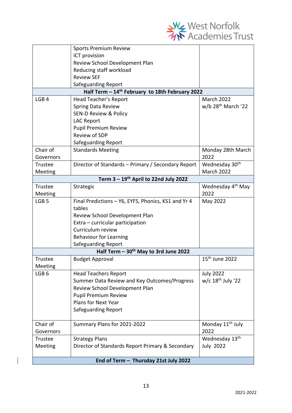

|                  | <b>Sports Premium Review</b>                                |                                |
|------------------|-------------------------------------------------------------|--------------------------------|
|                  | ICT provision                                               |                                |
|                  | Review School Development Plan                              |                                |
|                  | Reducing staff workload                                     |                                |
|                  | <b>Review SEF</b>                                           |                                |
|                  | <b>Safeguarding Report</b>                                  |                                |
|                  | Half Term - 14 <sup>th</sup> February to 18th February 2022 |                                |
| LGB <sub>4</sub> | Head Teacher's Report                                       | March 2022                     |
|                  | <b>Spring Data Review</b>                                   | w/b 28 <sup>th</sup> March '22 |
|                  | <b>SEN-D Review &amp; Policy</b>                            |                                |
|                  | <b>LAC Report</b>                                           |                                |
|                  | Pupil Premium Review                                        |                                |
|                  | <b>Review of SDP</b>                                        |                                |
|                  | Safeguarding Report                                         |                                |
| Chair of         | <b>Standards Meeting</b>                                    | Monday 28th March              |
| Governors        |                                                             | 2022                           |
| <b>Trustee</b>   | Director of Standards - Primary / Secondary Report          | Wednesday 30 <sup>th</sup>     |
| Meeting          |                                                             | <b>March 2022</b>              |
|                  | Term $3 - 19$ <sup>th</sup> April to 22nd July 2022         |                                |
| Trustee          | Strategic                                                   | Wednesday 4 <sup>th</sup> May  |
| Meeting          |                                                             | 2022                           |
| LGB <sub>5</sub> | Final Predictions - Y6, EYFS, Phonics, KS1 and Yr 4         | May 2022                       |
|                  | tables                                                      |                                |
|                  | Review School Development Plan                              |                                |
|                  | Extra - curricular participation                            |                                |
|                  | Curriculum review                                           |                                |
|                  | <b>Behaviour for Learning</b>                               |                                |
|                  | Safeguarding Report                                         |                                |
|                  | Half Term $-30th$ May to 3rd June 2022                      |                                |
| Trustee          | <b>Budget Approval</b>                                      | 15 <sup>th</sup> June 2022     |
| Meeting          |                                                             |                                |
| LGB <sub>6</sub> | <b>Head Teachers Report</b>                                 | <b>July 2022</b>               |
|                  | Summer Data Review and Key Outcomes/Progress                | w/c $18th$ July '22            |
|                  | Review School Development Plan                              |                                |
|                  | <b>Pupil Premium Review</b>                                 |                                |
|                  | <b>Plans for Next Year</b>                                  |                                |
|                  | <b>Safeguarding Report</b>                                  |                                |
|                  |                                                             |                                |
| Chair of         | Summary Plans for 2021-2022                                 | Monday 11 <sup>th</sup> July   |
| Governors        |                                                             | 2022                           |
| Trustee          | <b>Strategy Plans</b>                                       | Wednesday 13th                 |
| Meeting          | Director of Standards Report Primary & Secondary            | <b>July 2022</b>               |
|                  |                                                             |                                |
|                  | End of Term - Thursday 21st July 2022                       |                                |

 $\begin{array}{c} \hline \end{array}$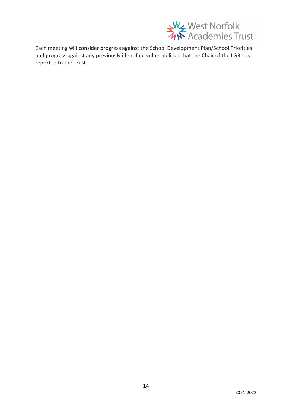

Each meeting will consider progress against the School Development Plan/School Priorities and progress against any previously identified vulnerabilities that the Chair of the LGB has reported to the Trust.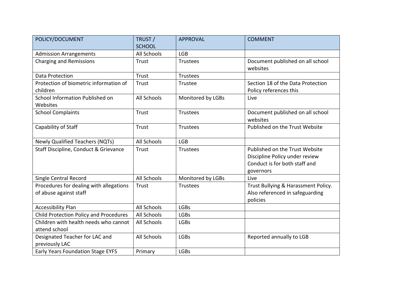| POLICY/DOCUMENT                                                   | TRUST /<br><b>SCHOOL</b> | <b>APPROVAL</b>   | <b>COMMENT</b>                                                                                                 |
|-------------------------------------------------------------------|--------------------------|-------------------|----------------------------------------------------------------------------------------------------------------|
| <b>Admission Arrangements</b>                                     | <b>All Schools</b>       | <b>LGB</b>        |                                                                                                                |
| <b>Charging and Remissions</b>                                    | <b>Trust</b>             | Trustees          | Document published on all school<br>websites                                                                   |
| Data Protection                                                   | Trust                    | <b>Trustees</b>   |                                                                                                                |
| Protection of biometric information of<br>children                | <b>Trust</b>             | Trustee           | Section 18 of the Data Protection<br>Policy references this                                                    |
| School Information Published on<br>Websites                       | <b>All Schools</b>       | Monitored by LGBs | Live                                                                                                           |
| <b>School Complaints</b>                                          | <b>Trust</b>             | <b>Trustees</b>   | Document published on all school<br>websites                                                                   |
| Capability of Staff                                               | <b>Trust</b>             | <b>Trustees</b>   | Published on the Trust Website                                                                                 |
| Newly Qualified Teachers (NQTs)                                   | <b>All Schools</b>       | <b>LGB</b>        |                                                                                                                |
| Staff Discipline, Conduct & Grievance                             | Trust                    | <b>Trustees</b>   | Published on the Trust Website<br>Discipline Policy under review<br>Conduct is for both staff and<br>governors |
| Single Central Record                                             | <b>All Schools</b>       | Monitored by LGBs | Live                                                                                                           |
| Procedures for dealing with allegations<br>of abuse against staff | <b>Trust</b>             | <b>Trustees</b>   | Trust Bullying & Harassment Policy.<br>Also referenced in safeguarding<br>policies                             |
| <b>Accessibility Plan</b>                                         | <b>All Schools</b>       | <b>LGBs</b>       |                                                                                                                |
| Child Protection Policy and Procedures                            | <b>All Schools</b>       | <b>LGBs</b>       |                                                                                                                |
| Children with health needs who cannot<br>attend school            | <b>All Schools</b>       | <b>LGBs</b>       |                                                                                                                |
| Designated Teacher for LAC and<br>previously LAC                  | <b>All Schools</b>       | <b>LGBs</b>       | Reported annually to LGB                                                                                       |
| Early Years Foundation Stage EYFS                                 | Primary                  | <b>LGBs</b>       |                                                                                                                |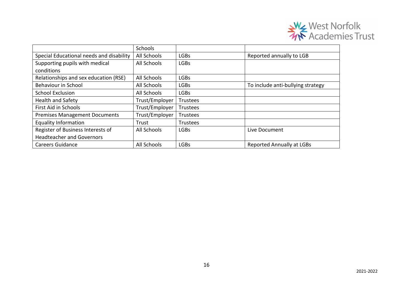

|                                          | Schools        |                 |                                   |
|------------------------------------------|----------------|-----------------|-----------------------------------|
| Special Educational needs and disability | All Schools    | <b>LGBs</b>     | Reported annually to LGB          |
| Supporting pupils with medical           | All Schools    | <b>LGBs</b>     |                                   |
| conditions                               |                |                 |                                   |
| Relationships and sex education (RSE)    | All Schools    | <b>LGBs</b>     |                                   |
| <b>Behaviour in School</b>               | All Schools    | <b>LGBs</b>     | To include anti-bullying strategy |
| <b>School Exclusion</b>                  | All Schools    | <b>LGBs</b>     |                                   |
| <b>Health and Safety</b>                 | Trust/Employer | <b>Trustees</b> |                                   |
| First Aid in Schools                     | Trust/Employer | Trustees        |                                   |
| <b>Premises Management Documents</b>     | Trust/Employer | <b>Trustees</b> |                                   |
| <b>Equality Information</b>              | Trust          | <b>Trustees</b> |                                   |
| Register of Business Interests of        | All Schools    | <b>LGBs</b>     | Live Document                     |
| <b>Headteacher and Governors</b>         |                |                 |                                   |
| <b>Careers Guidance</b>                  | All Schools    | <b>LGBs</b>     | <b>Reported Annually at LGBs</b>  |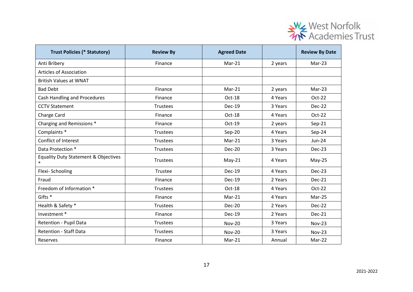

| <b>Trust Policies (* Statutory)</b>                       | <b>Review By</b> | <b>Agreed Date</b> |         | <b>Review By Date</b> |
|-----------------------------------------------------------|------------------|--------------------|---------|-----------------------|
| Anti Bribery                                              | Finance          | $Mar-21$           | 2 years | $Mar-23$              |
| <b>Articles of Association</b>                            |                  |                    |         |                       |
| <b>British Values at WNAT</b>                             |                  |                    |         |                       |
| <b>Bad Debt</b>                                           | Finance          | $Mar-21$           | 2 years | $Mar-23$              |
| <b>Cash Handling and Procedures</b>                       | Finance          | Oct-18             | 4 Years | Oct-22                |
| <b>CCTV Statement</b>                                     | <b>Trustees</b>  | <b>Dec-19</b>      | 3 Years | Dec-22                |
| Charge Card                                               | Finance          | Oct-18             | 4 Years | Oct-22                |
| Charging and Remissions *                                 | Finance          | Oct-19             | 2 years | $Sep-21$              |
| Complaints *                                              | <b>Trustees</b>  | $Sep-20$           | 4 Years | Sep-24                |
| Conflict of Interest                                      | <b>Trustees</b>  | $Mar-21$           | 3 Years | $Jun-24$              |
| Data Protection *                                         | <b>Trustees</b>  | <b>Dec-20</b>      | 3 Years | Dec-23                |
| <b>Equality Duty Statement &amp; Objectives</b><br>$\ast$ | Trustees         | $May-21$           | 4 Years | $May-25$              |
| Flexi-Schooling                                           | Trustee          | <b>Dec-19</b>      | 4 Years | Dec-23                |
| Fraud                                                     | Finance          | <b>Dec-19</b>      | 2 Years | Dec-21                |
| Freedom of Information *                                  | <b>Trustees</b>  | Oct-18             | 4 Years | Oct-22                |
| Gifts <sup>*</sup>                                        | Finance          | $Mar-21$           | 4 Years | Mar-25                |
| Health & Safety *                                         | <b>Trustees</b>  | <b>Dec-20</b>      | 2 Years | Dec-22                |
| Investment *                                              | Finance          | <b>Dec-19</b>      | 2 Years | Dec-21                |
| Retention - Pupil Data                                    | <b>Trustees</b>  | <b>Nov-20</b>      | 3 Years | <b>Nov-23</b>         |
| <b>Retention - Staff Data</b>                             | <b>Trustees</b>  | <b>Nov-20</b>      | 3 Years | $Nov-23$              |
| Reserves                                                  | Finance          | $Mar-21$           | Annual  | Mar-22                |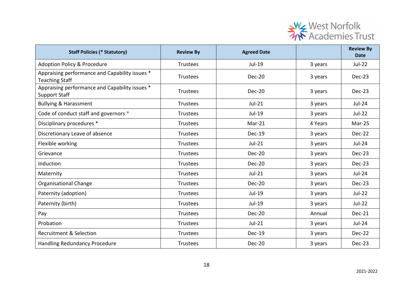

| <b>Staff Policies (* Statutory)</b>                                     | <b>Review By</b> | <b>Agreed Date</b> |         | <b>Review By</b><br><b>Date</b> |
|-------------------------------------------------------------------------|------------------|--------------------|---------|---------------------------------|
| <b>Adoption Policy &amp; Procedure</b>                                  | <b>Trustees</b>  | Jul-19             | 3 years | <b>Jul-22</b>                   |
| Appraising performance and Capability issues *<br><b>Teaching Staff</b> | Trustees         | Dec-20             | 3 years | Dec-23                          |
| Appraising performance and Capability issues *<br><b>Support Staff</b>  | <b>Trustees</b>  | Dec-20             | 3 years | Dec-23                          |
| <b>Bullying &amp; Harassment</b>                                        | Trustees         | $Jul-21$           | 3 years | Jul-24                          |
| Code of conduct staff and governors *                                   | Trustees         | Jul-19             | 3 years | $Jul-22$                        |
| Disciplinary procedures *                                               | <b>Trustees</b>  | $Mar-21$           | 4 Years | $Mar-25$                        |
| Discretionary Leave of absence                                          | Trustees         | Dec-19             | 3 years | Dec-22                          |
| Flexible working                                                        | Trustees         | $Jul-21$           | 3 years | $Jul-24$                        |
| Grievance                                                               | <b>Trustees</b>  | <b>Dec-20</b>      | 3 years | Dec-23                          |
| Induction                                                               | Trustees         | Dec-20             | 3 years | Dec-23                          |
| Maternity                                                               | <b>Trustees</b>  | $Jul-21$           | 3 years | Jul-24                          |
| <b>Organisational Change</b>                                            | Trustees         | Dec-20             | 3 years | Dec-23                          |
| Paternity (adoption)                                                    | Trustees         | Jul-19             | 3 years | $Jul-22$                        |
| Paternity (birth)                                                       | Trustees         | Jul-19             | 3 years | $Jul-22$                        |
| Pay                                                                     | Trustees         | Dec-20             | Annual  | Dec-21                          |
| Probation                                                               | Trustees         | $Jul-21$           | 3 years | Jul-24                          |
| <b>Recruitment &amp; Selection</b>                                      | <b>Trustees</b>  | <b>Dec-19</b>      | 3 years | <b>Dec-22</b>                   |
| <b>Handling Redundancy Procedure</b>                                    | Trustees         | <b>Dec-20</b>      | 3 years | Dec-23                          |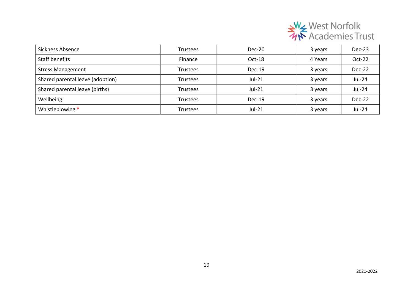

| Sickness Absence                 | <b>Trustees</b> | Dec-20   | 3 years | Dec-23        |
|----------------------------------|-----------------|----------|---------|---------------|
| Staff benefits                   | Finance         | Oct-18   | 4 Years | Oct-22        |
| <b>Stress Management</b>         | Trustees        | $Dec-19$ | 3 years | Dec-22        |
| Shared parental leave (adoption) | Trustees        | $Jul-21$ | 3 years | $Jul-24$      |
| Shared parental leave (births)   | Trustees        | $Jul-21$ | 3 years | <b>Jul-24</b> |
| Wellbeing                        | Trustees        | $Dec-19$ | 3 years | Dec-22        |
| Whistleblowing *                 | <b>Trustees</b> | $Jul-21$ | 3 years | Jul-24        |